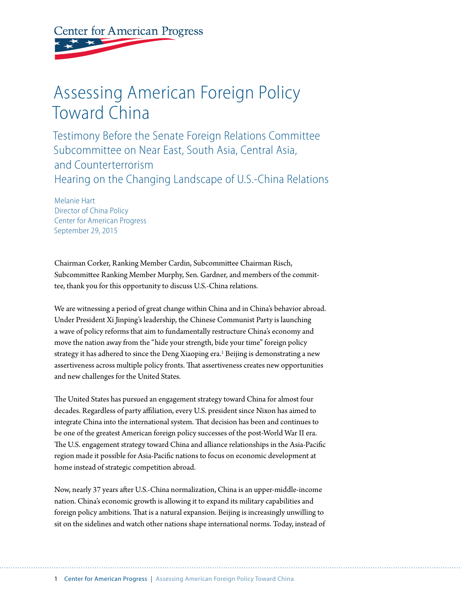**Center for American Progress** 

# Assessing American Foreign Policy Toward China

Testimony Before the Senate Foreign Relations Committee Subcommittee on Near East, South Asia, Central Asia, and Counterterrorism Hearing on the Changing Landscape of U.S.-China Relations

Melanie Hart Director of China Policy Center for American Progress September 29, 2015

Chairman Corker, Ranking Member Cardin, Subcommittee Chairman Risch, Subcommittee Ranking Member Murphy, Sen. Gardner, and members of the committee, thank you for this opportunity to discuss U.S.-China relations.

We are witnessing a period of great change within China and in China's behavior abroad. Under President Xi Jinping's leadership, the Chinese Communist Party is launching a wave of policy reforms that aim to fundamentally restructure China's economy and move the nation away from the "hide your strength, bide your time" foreign policy strategy it has adhered to since the Deng Xiaoping era.<sup>1</sup> Beijing is demonstrating a new assertiveness across multiple policy fronts. That assertiveness creates new opportunities and new challenges for the United States.

The United States has pursued an engagement strategy toward China for almost four decades. Regardless of party affiliation, every U.S. president since Nixon has aimed to integrate China into the international system. That decision has been and continues to be one of the greatest American foreign policy successes of the post-World War II era. The U.S. engagement strategy toward China and alliance relationships in the Asia-Pacific region made it possible for Asia-Pacific nations to focus on economic development at home instead of strategic competition abroad.

Now, nearly 37 years after U.S.-China normalization, China is an upper-middle-income nation. China's economic growth is allowing it to expand its military capabilities and foreign policy ambitions. That is a natural expansion. Beijing is increasingly unwilling to sit on the sidelines and watch other nations shape international norms. Today, instead of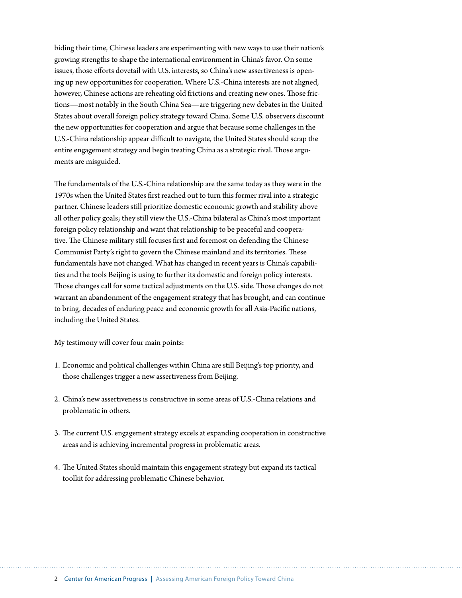biding their time, Chinese leaders are experimenting with new ways to use their nation's growing strengths to shape the international environment in China's favor. On some issues, those efforts dovetail with U.S. interests, so China's new assertiveness is opening up new opportunities for cooperation. Where U.S.-China interests are not aligned, however, Chinese actions are reheating old frictions and creating new ones. Those frictions—most notably in the South China Sea—are triggering new debates in the United States about overall foreign policy strategy toward China. Some U.S. observers discount the new opportunities for cooperation and argue that because some challenges in the U.S.-China relationship appear difficult to navigate, the United States should scrap the entire engagement strategy and begin treating China as a strategic rival. Those arguments are misguided.

The fundamentals of the U.S.-China relationship are the same today as they were in the 1970s when the United States first reached out to turn this former rival into a strategic partner. Chinese leaders still prioritize domestic economic growth and stability above all other policy goals; they still view the U.S.-China bilateral as China's most important foreign policy relationship and want that relationship to be peaceful and cooperative. The Chinese military still focuses first and foremost on defending the Chinese Communist Party's right to govern the Chinese mainland and its territories. These fundamentals have not changed. What has changed in recent years is China's capabilities and the tools Beijing is using to further its domestic and foreign policy interests. Those changes call for some tactical adjustments on the U.S. side. Those changes do not warrant an abandonment of the engagement strategy that has brought, and can continue to bring, decades of enduring peace and economic growth for all Asia-Pacific nations, including the United States.

My testimony will cover four main points:

- 1. Economic and political challenges within China are still Beijing's top priority, and those challenges trigger a new assertiveness from Beijing.
- 2. China's new assertiveness is constructive in some areas of U.S.-China relations and problematic in others.
- 3. The current U.S. engagement strategy excels at expanding cooperation in constructive areas and is achieving incremental progress in problematic areas.
- 4. The United States should maintain this engagement strategy but expand its tactical toolkit for addressing problematic Chinese behavior.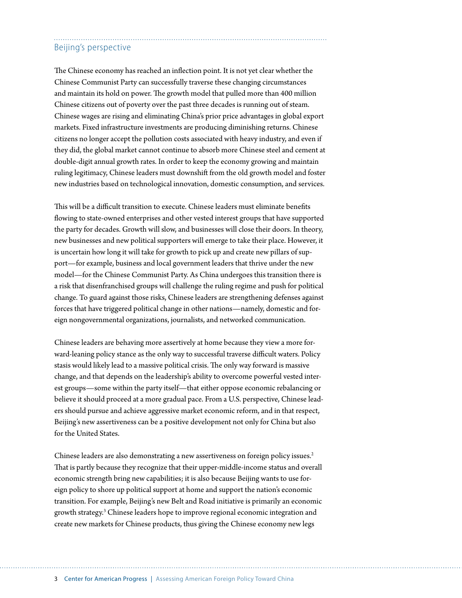## Beijing's perspective

The Chinese economy has reached an inflection point. It is not yet clear whether the Chinese Communist Party can successfully traverse these changing circumstances and maintain its hold on power. The growth model that pulled more than 400 million Chinese citizens out of poverty over the past three decades is running out of steam. Chinese wages are rising and eliminating China's prior price advantages in global export markets. Fixed infrastructure investments are producing diminishing returns. Chinese citizens no longer accept the pollution costs associated with heavy industry, and even if they did, the global market cannot continue to absorb more Chinese steel and cement at double-digit annual growth rates. In order to keep the economy growing and maintain ruling legitimacy, Chinese leaders must downshift from the old growth model and foster new industries based on technological innovation, domestic consumption, and services.

This will be a difficult transition to execute. Chinese leaders must eliminate benefits flowing to state-owned enterprises and other vested interest groups that have supported the party for decades. Growth will slow, and businesses will close their doors. In theory, new businesses and new political supporters will emerge to take their place. However, it is uncertain how long it will take for growth to pick up and create new pillars of support—for example, business and local government leaders that thrive under the new model—for the Chinese Communist Party. As China undergoes this transition there is a risk that disenfranchised groups will challenge the ruling regime and push for political change. To guard against those risks, Chinese leaders are strengthening defenses against forces that have triggered political change in other nations—namely, domestic and foreign nongovernmental organizations, journalists, and networked communication.

Chinese leaders are behaving more assertively at home because they view a more forward-leaning policy stance as the only way to successful traverse difficult waters. Policy stasis would likely lead to a massive political crisis. The only way forward is massive change, and that depends on the leadership's ability to overcome powerful vested interest groups—some within the party itself—that either oppose economic rebalancing or believe it should proceed at a more gradual pace. From a U.S. perspective, Chinese leaders should pursue and achieve aggressive market economic reform, and in that respect, Beijing's new assertiveness can be a positive development not only for China but also for the United States.

Chinese leaders are also demonstrating a new assertiveness on foreign policy issues.<sup>2</sup> That is partly because they recognize that their upper-middle-income status and overall economic strength bring new capabilities; it is also because Beijing wants to use foreign policy to shore up political support at home and support the nation's economic transition. For example, Beijing's new Belt and Road initiative is primarily an economic growth strategy.3 Chinese leaders hope to improve regional economic integration and create new markets for Chinese products, thus giving the Chinese economy new legs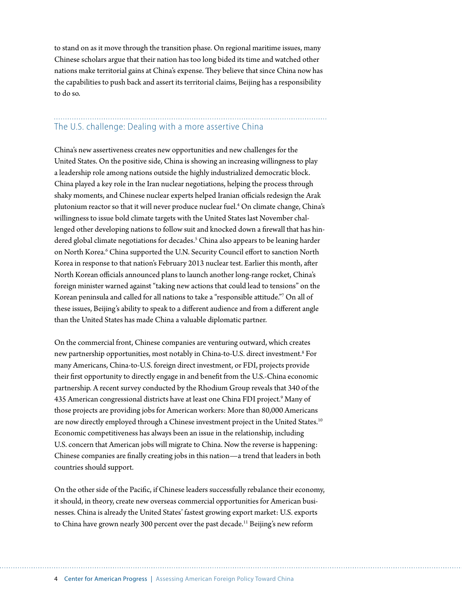to stand on as it move through the transition phase. On regional maritime issues, many Chinese scholars argue that their nation has too long bided its time and watched other nations make territorial gains at China's expense. They believe that since China now has the capabilities to push back and assert its territorial claims, Beijing has a responsibility to do so.

## The U.S. challenge: Dealing with a more assertive China

China's new assertiveness creates new opportunities and new challenges for the United States. On the positive side, China is showing an increasing willingness to play a leadership role among nations outside the highly industrialized democratic block. China played a key role in the Iran nuclear negotiations, helping the process through shaky moments, and Chinese nuclear experts helped Iranian officials redesign the Arak plutonium reactor so that it will never produce nuclear fuel.4 On climate change, China's willingness to issue bold climate targets with the United States last November challenged other developing nations to follow suit and knocked down a firewall that has hindered global climate negotiations for decades.<sup>5</sup> China also appears to be leaning harder on North Korea.<sup>6</sup> China supported the U.N. Security Council effort to sanction North Korea in response to that nation's February 2013 nuclear test. Earlier this month, after North Korean officials announced plans to launch another long-range rocket, China's foreign minister warned against "taking new actions that could lead to tensions" on the Korean peninsula and called for all nations to take a "responsible attitude."7 On all of these issues, Beijing's ability to speak to a different audience and from a different angle than the United States has made China a valuable diplomatic partner.

On the commercial front, Chinese companies are venturing outward, which creates new partnership opportunities, most notably in China-to-U.S. direct investment.8 For many Americans, China-to-U.S. foreign direct investment, or FDI, projects provide their first opportunity to directly engage in and benefit from the U.S.-China economic partnership. A recent survey conducted by the Rhodium Group reveals that 340 of the 435 American congressional districts have at least one China FDI project.<sup>9</sup> Many of those projects are providing jobs for American workers: More than 80,000 Americans are now directly employed through a Chinese investment project in the United States.<sup>10</sup> Economic competitiveness has always been an issue in the relationship, including U.S. concern that American jobs will migrate to China. Now the reverse is happening: Chinese companies are finally creating jobs in this nation—a trend that leaders in both countries should support.

On the other side of the Pacific, if Chinese leaders successfully rebalance their economy, it should, in theory, create new overseas commercial opportunities for American businesses. China is already the United States' fastest growing export market: U.S. exports to China have grown nearly 300 percent over the past decade.<sup>11</sup> Beijing's new reform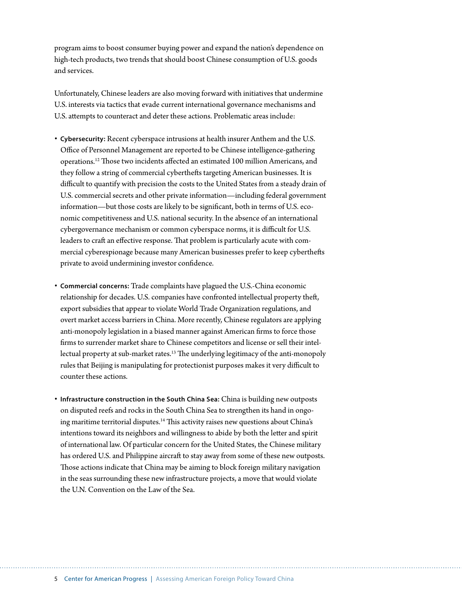program aims to boost consumer buying power and expand the nation's dependence on high-tech products, two trends that should boost Chinese consumption of U.S. goods and services.

Unfortunately, Chinese leaders are also moving forward with initiatives that undermine U.S. interests via tactics that evade current international governance mechanisms and U.S. attempts to counteract and deter these actions. Problematic areas include:

- **Cybersecurity:** Recent cyberspace intrusions at health insurer Anthem and the U.S. Office of Personnel Management are reported to be Chinese intelligence-gathering operations.12 Those two incidents affected an estimated 100 million Americans, and they follow a string of commercial cyberthefts targeting American businesses. It is difficult to quantify with precision the costs to the United States from a steady drain of U.S. commercial secrets and other private information—including federal government information—but those costs are likely to be significant, both in terms of U.S. economic competitiveness and U.S. national security. In the absence of an international cybergovernance mechanism or common cyberspace norms, it is difficult for U.S. leaders to craft an effective response. That problem is particularly acute with commercial cyberespionage because many American businesses prefer to keep cyberthefts private to avoid undermining investor confidence.
- **Commercial concerns:** Trade complaints have plagued the U.S.-China economic relationship for decades. U.S. companies have confronted intellectual property theft, export subsidies that appear to violate World Trade Organization regulations, and overt market access barriers in China. More recently, Chinese regulators are applying anti-monopoly legislation in a biased manner against American firms to force those firms to surrender market share to Chinese competitors and license or sell their intellectual property at sub-market rates.<sup>13</sup> The underlying legitimacy of the anti-monopoly rules that Beijing is manipulating for protectionist purposes makes it very difficult to counter these actions.
- **Infrastructure construction in the South China Sea:** China is building new outposts on disputed reefs and rocks in the South China Sea to strengthen its hand in ongoing maritime territorial disputes.<sup>14</sup> This activity raises new questions about China's intentions toward its neighbors and willingness to abide by both the letter and spirit of international law. Of particular concern for the United States, the Chinese military has ordered U.S. and Philippine aircraft to stay away from some of these new outposts. Those actions indicate that China may be aiming to block foreign military navigation in the seas surrounding these new infrastructure projects, a move that would violate the U.N. Convention on the Law of the Sea.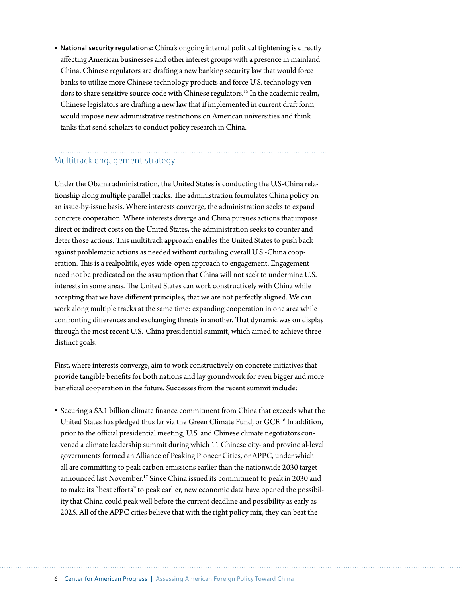• **National security regulations:** China's ongoing internal political tightening is directly affecting American businesses and other interest groups with a presence in mainland China. Chinese regulators are drafting a new banking security law that would force banks to utilize more Chinese technology products and force U.S. technology vendors to share sensitive source code with Chinese regulators.<sup>15</sup> In the academic realm, Chinese legislators are drafting a new law that if implemented in current draft form, would impose new administrative restrictions on American universities and think tanks that send scholars to conduct policy research in China.

# Multitrack engagement strategy

Under the Obama administration, the United States is conducting the U.S-China relationship along multiple parallel tracks. The administration formulates China policy on an issue-by-issue basis. Where interests converge, the administration seeks to expand concrete cooperation. Where interests diverge and China pursues actions that impose direct or indirect costs on the United States, the administration seeks to counter and deter those actions. This multitrack approach enables the United States to push back against problematic actions as needed without curtailing overall U.S.-China cooperation. This is a realpolitik, eyes-wide-open approach to engagement. Engagement need not be predicated on the assumption that China will not seek to undermine U.S. interests in some areas. The United States can work constructively with China while accepting that we have different principles, that we are not perfectly aligned. We can work along multiple tracks at the same time: expanding cooperation in one area while confronting differences and exchanging threats in another. That dynamic was on display through the most recent U.S.-China presidential summit, which aimed to achieve three distinct goals.

First, where interests converge, aim to work constructively on concrete initiatives that provide tangible benefits for both nations and lay groundwork for even bigger and more beneficial cooperation in the future. Successes from the recent summit include:

• Securing a \$3.1 billion climate finance commitment from China that exceeds what the United States has pledged thus far via the Green Climate Fund, or GCF.<sup>16</sup> In addition, prior to the official presidential meeting, U.S. and Chinese climate negotiators convened a climate leadership summit during which 11 Chinese city- and provincial-level governments formed an Alliance of Peaking Pioneer Cities, or APPC, under which all are committing to peak carbon emissions earlier than the nationwide 2030 target announced last November.<sup>17</sup> Since China issued its commitment to peak in 2030 and to make its "best efforts" to peak earlier, new economic data have opened the possibility that China could peak well before the current deadline and possibility as early as 2025. All of the APPC cities believe that with the right policy mix, they can beat the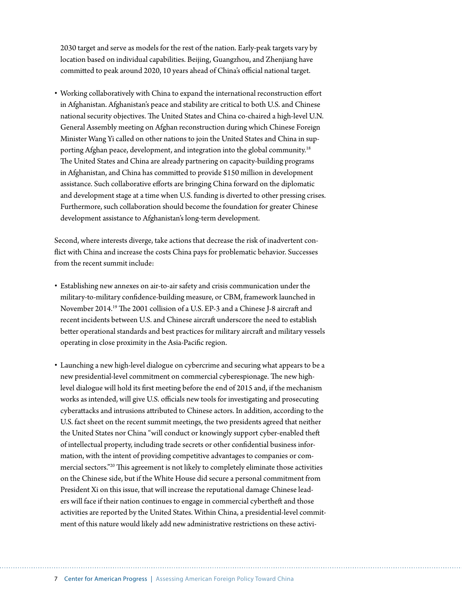2030 target and serve as models for the rest of the nation. Early-peak targets vary by location based on individual capabilities. Beijing, Guangzhou, and Zhenjiang have committed to peak around 2020, 10 years ahead of China's official national target.

• Working collaboratively with China to expand the international reconstruction effort in Afghanistan. Afghanistan's peace and stability are critical to both U.S. and Chinese national security objectives. The United States and China co-chaired a high-level U.N. General Assembly meeting on Afghan reconstruction during which Chinese Foreign Minister Wang Yi called on other nations to join the United States and China in supporting Afghan peace, development, and integration into the global community.<sup>18</sup> The United States and China are already partnering on capacity-building programs in Afghanistan, and China has committed to provide \$150 million in development assistance. Such collaborative efforts are bringing China forward on the diplomatic and development stage at a time when U.S. funding is diverted to other pressing crises. Furthermore, such collaboration should become the foundation for greater Chinese development assistance to Afghanistan's long-term development.

Second, where interests diverge, take actions that decrease the risk of inadvertent conflict with China and increase the costs China pays for problematic behavior. Successes from the recent summit include:

- Establishing new annexes on air-to-air safety and crisis communication under the military-to-military confidence-building measure, or CBM, framework launched in November 2014.19 The 2001 collision of a U.S. EP-3 and a Chinese J-8 aircraft and recent incidents between U.S. and Chinese aircraft underscore the need to establish better operational standards and best practices for military aircraft and military vessels operating in close proximity in the Asia-Pacific region.
- Launching a new high-level dialogue on cybercrime and securing what appears to be a new presidential-level commitment on commercial cyberespionage. The new highlevel dialogue will hold its first meeting before the end of 2015 and, if the mechanism works as intended, will give U.S. officials new tools for investigating and prosecuting cyberattacks and intrusions attributed to Chinese actors. In addition, according to the U.S. fact sheet on the recent summit meetings, the two presidents agreed that neither the United States nor China "will conduct or knowingly support cyber-enabled theft of intellectual property, including trade secrets or other confidential business information, with the intent of providing competitive advantages to companies or commercial sectors."20 This agreement is not likely to completely eliminate those activities on the Chinese side, but if the White House did secure a personal commitment from President Xi on this issue, that will increase the reputational damage Chinese leaders will face if their nation continues to engage in commercial cybertheft and those activities are reported by the United States. Within China, a presidential-level commitment of this nature would likely add new administrative restrictions on these activi-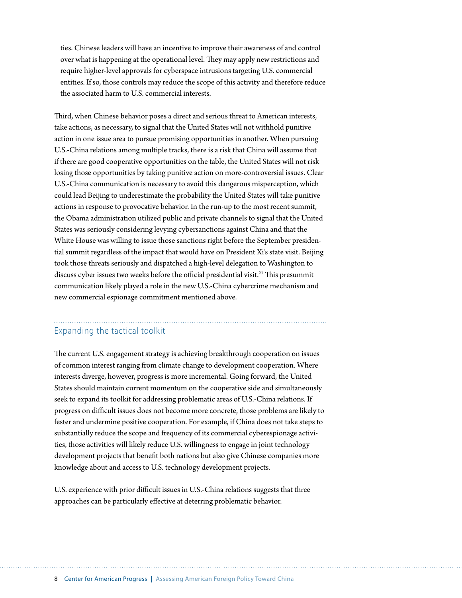ties. Chinese leaders will have an incentive to improve their awareness of and control over what is happening at the operational level. They may apply new restrictions and require higher-level approvals for cyberspace intrusions targeting U.S. commercial entities. If so, those controls may reduce the scope of this activity and therefore reduce the associated harm to U.S. commercial interests.

Third, when Chinese behavior poses a direct and serious threat to American interests, take actions, as necessary, to signal that the United States will not withhold punitive action in one issue area to pursue promising opportunities in another. When pursuing U.S.-China relations among multiple tracks, there is a risk that China will assume that if there are good cooperative opportunities on the table, the United States will not risk losing those opportunities by taking punitive action on more-controversial issues. Clear U.S.-China communication is necessary to avoid this dangerous misperception, which could lead Beijing to underestimate the probability the United States will take punitive actions in response to provocative behavior. In the run-up to the most recent summit, the Obama administration utilized public and private channels to signal that the United States was seriously considering levying cybersanctions against China and that the White House was willing to issue those sanctions right before the September presidential summit regardless of the impact that would have on President Xi's state visit. Beijing took those threats seriously and dispatched a high-level delegation to Washington to discuss cyber issues two weeks before the official presidential visit.<sup>21</sup> This presummit communication likely played a role in the new U.S.-China cybercrime mechanism and new commercial espionage commitment mentioned above.

## Expanding the tactical toolkit

The current U.S. engagement strategy is achieving breakthrough cooperation on issues of common interest ranging from climate change to development cooperation. Where interests diverge, however, progress is more incremental. Going forward, the United States should maintain current momentum on the cooperative side and simultaneously seek to expand its toolkit for addressing problematic areas of U.S.-China relations. If progress on difficult issues does not become more concrete, those problems are likely to fester and undermine positive cooperation. For example, if China does not take steps to substantially reduce the scope and frequency of its commercial cyberespionage activities, those activities will likely reduce U.S. willingness to engage in joint technology development projects that benefit both nations but also give Chinese companies more knowledge about and access to U.S. technology development projects.

U.S. experience with prior difficult issues in U.S.-China relations suggests that three approaches can be particularly effective at deterring problematic behavior.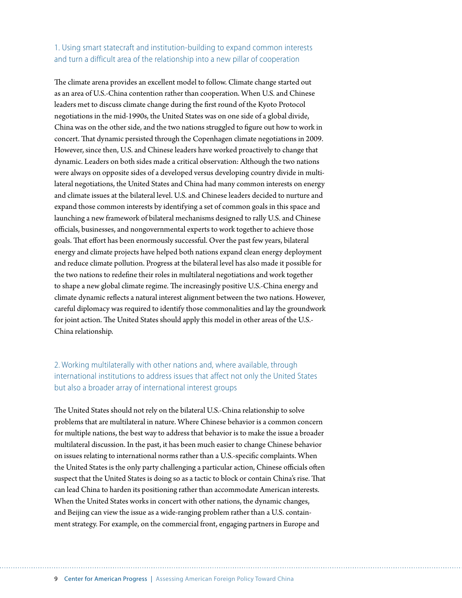## 1. Using smart statecraft and institution-building to expand common interests and turn a difficult area of the relationship into a new pillar of cooperation

The climate arena provides an excellent model to follow. Climate change started out as an area of U.S.-China contention rather than cooperation. When U.S. and Chinese leaders met to discuss climate change during the first round of the Kyoto Protocol negotiations in the mid-1990s, the United States was on one side of a global divide, China was on the other side, and the two nations struggled to figure out how to work in concert. That dynamic persisted through the Copenhagen climate negotiations in 2009. However, since then, U.S. and Chinese leaders have worked proactively to change that dynamic. Leaders on both sides made a critical observation: Although the two nations were always on opposite sides of a developed versus developing country divide in multilateral negotiations, the United States and China had many common interests on energy and climate issues at the bilateral level. U.S. and Chinese leaders decided to nurture and expand those common interests by identifying a set of common goals in this space and launching a new framework of bilateral mechanisms designed to rally U.S. and Chinese officials, businesses, and nongovernmental experts to work together to achieve those goals. That effort has been enormously successful. Over the past few years, bilateral energy and climate projects have helped both nations expand clean energy deployment and reduce climate pollution. Progress at the bilateral level has also made it possible for the two nations to redefine their roles in multilateral negotiations and work together to shape a new global climate regime. The increasingly positive U.S.-China energy and climate dynamic reflects a natural interest alignment between the two nations. However, careful diplomacy was required to identify those commonalities and lay the groundwork for joint action. The United States should apply this model in other areas of the U.S.- China relationship.

### 2. Working multilaterally with other nations and, where available, through international institutions to address issues that affect not only the United States but also a broader array of international interest groups

The United States should not rely on the bilateral U.S.-China relationship to solve problems that are multilateral in nature. Where Chinese behavior is a common concern for multiple nations, the best way to address that behavior is to make the issue a broader multilateral discussion. In the past, it has been much easier to change Chinese behavior on issues relating to international norms rather than a U.S.-specific complaints. When the United States is the only party challenging a particular action, Chinese officials often suspect that the United States is doing so as a tactic to block or contain China's rise. That can lead China to harden its positioning rather than accommodate American interests. When the United States works in concert with other nations, the dynamic changes, and Beijing can view the issue as a wide-ranging problem rather than a U.S. containment strategy. For example, on the commercial front, engaging partners in Europe and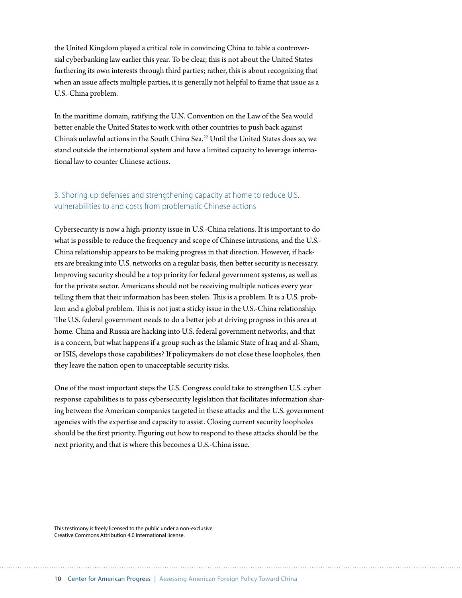the United Kingdom played a critical role in convincing China to table a controversial cyberbanking law earlier this year. To be clear, this is not about the United States furthering its own interests through third parties; rather, this is about recognizing that when an issue affects multiple parties, it is generally not helpful to frame that issue as a U.S.-China problem.

In the maritime domain, ratifying the U.N. Convention on the Law of the Sea would better enable the United States to work with other countries to push back against China's unlawful actions in the South China Sea.22 Until the United States does so, we stand outside the international system and have a limited capacity to leverage international law to counter Chinese actions.

#### 3. Shoring up defenses and strengthening capacity at home to reduce U.S. vulnerabilities to and costs from problematic Chinese actions

Cybersecurity is now a high-priority issue in U.S.-China relations. It is important to do what is possible to reduce the frequency and scope of Chinese intrusions, and the U.S.- China relationship appears to be making progress in that direction. However, if hackers are breaking into U.S. networks on a regular basis, then better security is necessary. Improving security should be a top priority for federal government systems, as well as for the private sector. Americans should not be receiving multiple notices every year telling them that their information has been stolen. This is a problem. It is a U.S. problem and a global problem. This is not just a sticky issue in the U.S.-China relationship. The U.S. federal government needs to do a better job at driving progress in this area at home. China and Russia are hacking into U.S. federal government networks, and that is a concern, but what happens if a group such as the Islamic State of Iraq and al-Sham, or ISIS, develops those capabilities? If policymakers do not close these loopholes, then they leave the nation open to unacceptable security risks.

One of the most important steps the U.S. Congress could take to strengthen U.S. cyber response capabilities is to pass cybersecurity legislation that facilitates information sharing between the American companies targeted in these attacks and the U.S. government agencies with the expertise and capacity to assist. Closing current security loopholes should be the first priority. Figuring out how to respond to these attacks should be the next priority, and that is where this becomes a U.S.-China issue.

This testimony is freely licensed to the public under a non-exclusive [Creative Commons Attribution 4.0 International license](https://creativecommons.org/licenses/by/4.0/).